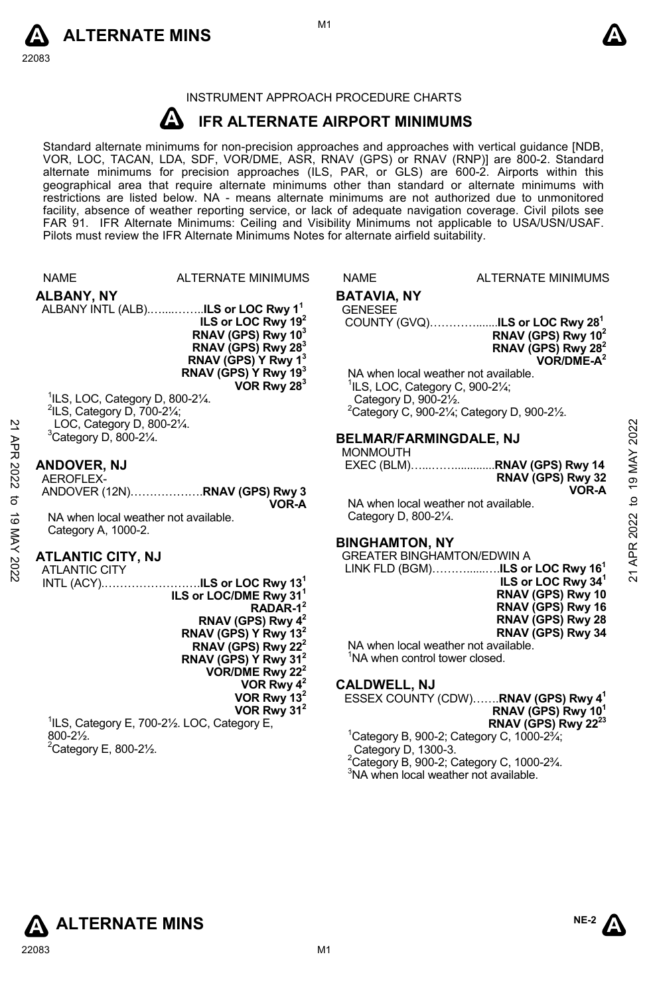



### INSTRUMENT APPROACH PROCEDURE CHARTS

#### **A IFR ALTERNATE AIRPORT MINIMUMS**

Standard alternate minimums for non-precision approaches and approaches with vertical guidance [NDB,<br>VOR, LOC, TACAN, LDA, SDF, VOR/DME, ASR, RNAV (GPS) or RNAV (RNP)] are 800-2. Standard alternate minimums for precision approaches (ILS, PAR, or GLS) are 600-2. Airports within this geographical area that require alternate minimums other than standard or alternate minimums with restrictions are listed below. NA - means alternate minimums are not authorized due to unmonitored facility, absence of weather reporting service, or lack of adequate navigation coverage. Civil pilots see FAR 91. IFR Alternate Minimums: Ceiling and Visibility Minimums not applicable to USA/USN/USAF. Pilots must review the IFR Alternate Minimums Notes for alternate airfield suitability.

|                                   | <b>NAME</b>                                                                                                                                                                                                                                                                                                                                                                                   | ALTERNATE MINIMUMS                                                                                                                                                                                                                                                                                                                                                                                                                                                                                                                                                                                                                                                                       | <b>NAME</b>                                                                                                                                                                      | <b>ALTERNATE MINIMUMS</b>                                                                                                                                                                                                                                                                                                                                                                                                                                                                                                                                                                                                                                                                                                                                                                                                                                                                                                                                                                                                                   |
|-----------------------------------|-----------------------------------------------------------------------------------------------------------------------------------------------------------------------------------------------------------------------------------------------------------------------------------------------------------------------------------------------------------------------------------------------|------------------------------------------------------------------------------------------------------------------------------------------------------------------------------------------------------------------------------------------------------------------------------------------------------------------------------------------------------------------------------------------------------------------------------------------------------------------------------------------------------------------------------------------------------------------------------------------------------------------------------------------------------------------------------------------|----------------------------------------------------------------------------------------------------------------------------------------------------------------------------------|---------------------------------------------------------------------------------------------------------------------------------------------------------------------------------------------------------------------------------------------------------------------------------------------------------------------------------------------------------------------------------------------------------------------------------------------------------------------------------------------------------------------------------------------------------------------------------------------------------------------------------------------------------------------------------------------------------------------------------------------------------------------------------------------------------------------------------------------------------------------------------------------------------------------------------------------------------------------------------------------------------------------------------------------|
| 21 APR 2022<br>đ<br>ಠ<br>MAY 2022 | ALBANY, NY<br>${}^{1}$ ILS, LOC, Category D, 800-2 $\frac{1}{4}$ .<br>$2$ ILS, Category D, 700-2 $\frac{1}{4}$ ;<br>LOC, Category D, 800-21/4.<br><sup>3</sup> Category D, 800-21⁄4.<br><b>ANDOVER, NJ</b><br>AEROFLEX-<br>NA when local weather not available.<br>Category A, 1000-2.<br><b>ATLANTIC CITY, NJ</b><br><b>ATLANTIC CITY</b><br>800-21/2.<br><sup>2</sup> Category E, 800-21/2. | ALBANY INTL (ALB)ILS or LOC Rwy 1 <sup>1</sup><br>ILS or LOC Rwy 19 <sup>2</sup><br>RNAV (GPS) Rwy 10 <sup>3</sup><br>RNAV (GPS) Rwy 28 <sup>3</sup><br>RNAV (GPS) Y Rwy 1 <sup>3</sup><br>RNAV (GPS) Y Rwy 193<br>VOR Rwy 28 <sup>3</sup><br>ANDOVER (12N)RNAV (GPS) Rwy 3<br>VOR-A<br>INTL (ACY)ILS or LOC Rwy 13 <sup>1</sup><br>ILS or LOC/DME Rwy 31<br>$RADAR-12$<br>RNAV (GPS) Rwy 4 <sup>2</sup><br>RNAV (GPS) Y Rwy 13 <sup>2</sup><br>RNAV (GPS) Rwy 22 <sup>2</sup><br>RNAV (GPS) Y Rwy 31 <sup>2</sup><br>VOR/DME Rwy 22 <sup>2</sup><br>VOR Rwy $4^2$<br>VOR Rwy 13 <sup>2</sup><br>VOR Rwy $31^2$<br><sup>1</sup> ILS, Category E, 700-21/ <sub>2</sub> . LOC, Category E, | <b>BATAVIA, NY</b><br><b>GENESEE</b><br>Category D, 900-21/2.<br><b>MONMOUTH</b><br>Category D, 800-21/4.<br><b>BINGHAMTON, NY</b><br><b>CALDWELL, NJ</b><br>Category D, 1300-3. | RNAV (GPS) Rwy 10 <sup>2</sup><br>RNAV (GPS) Rwy 28 <sup>2</sup><br>VOR/DME-A <sup>2</sup><br>NA when local weather not available.<br>$^1$ ILS, LOC, Category C, 900-2 $\frac{1}{4}$ ;<br><sup>2</sup> Category C, 900-21/ <sub>4</sub> ; Category D, 900-21/2.<br>2022<br>BELMAR/FARMINGDALE, NJ<br><b>19 MAY</b><br>EXEC (BLM)RNAV (GPS) Rwy 14<br>RNAV (GPS) Rwy 32<br>VOR-A<br>$\mathbf{a}$<br>NA when local weather not available.<br>2022<br>APR:<br><b>GREATER BINGHAMTON/EDWIN A</b><br>$\overline{2}$<br>ILS or LOC Rwy $341$<br>RNAV (GPS) Rwy 10<br>RNAV (GPS) Rwy 16<br>RNAV (GPS) Rwy 28<br>RNAV (GPS) Rwy 34<br>NA when local weather not available.<br><sup>1</sup> NA when control tower closed.<br>ESSEX COUNTY (CDW)RNAV (GPS) Rwy 4 <sup>1</sup><br>RNAV (GPS) Rwy 10 <sup>1</sup><br>RNAV (GPS) Rwy 22 <sup>23</sup><br><sup>1</sup> Category B, 900-2; Category C, 1000-2 <sup>3</sup> / <sub>4</sub> ;<br><sup>2</sup> Category B, 900-2; Category C, 1000-23/4.<br><sup>3</sup> NA when local weather not available. |
|                                   |                                                                                                                                                                                                                                                                                                                                                                                               |                                                                                                                                                                                                                                                                                                                                                                                                                                                                                                                                                                                                                                                                                          |                                                                                                                                                                                  |                                                                                                                                                                                                                                                                                                                                                                                                                                                                                                                                                                                                                                                                                                                                                                                                                                                                                                                                                                                                                                             |



**NE-2** 

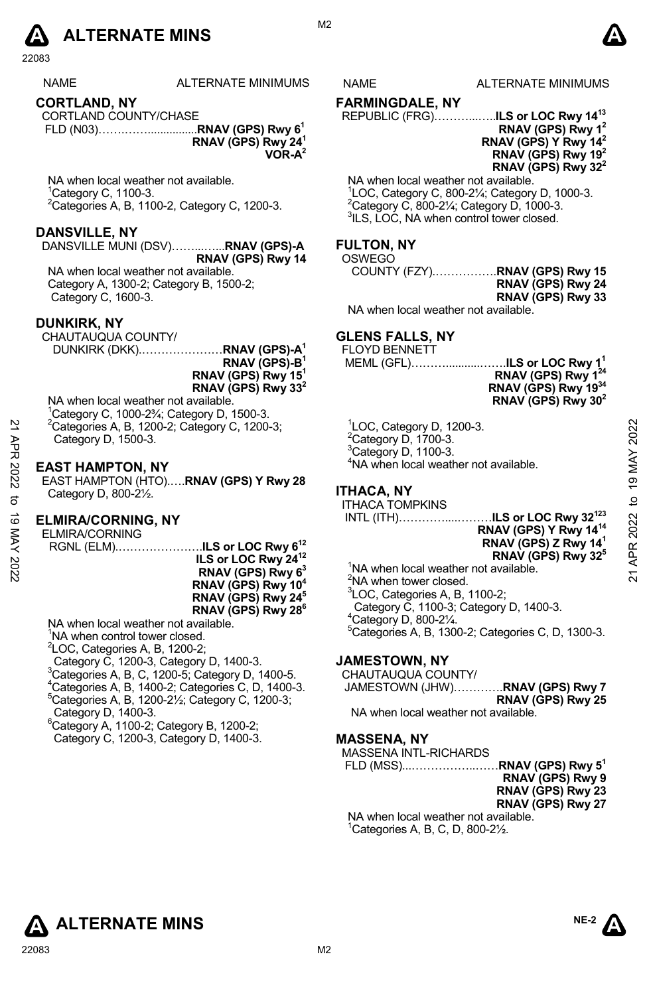

22083

### NAME ALTERNATE MINIMUMS NAME ALTERNATE MINIMUMS

#### **CORTLAND, NY**

CORTLAND COUNTY/CHASE FLD (N03)…….……................**RNAV (GPS) Rwy 61 RNAV (GPS) Rwy 241 VOR-A2** 

NA when local weather not available. <sup>1</sup>Category C, 1100-3. 2 Categories A, B, 1100-2, Category C, 1200-3.

### **DANSVILLE, NY**

DANSVILLE MUNI (DSV)……...…...**RNAV (GPS)-A RNAV (GPS) Rwy 14** 

NA when local weather not available. Category A, 1300-2; Category B, 1500-2; Category C, 1600-3.

### **DUNKIRK, NY**

CHAUTAUQUA COUNTY/

DUNKIRK (DKK).…………………**RNAV (GPS)-A1 RNAV (GPS)-B1 RNAV (GPS) Rwy 151 RNAV (GPS) Rwy 332** 

NA when local weather not available. 1 Category C, 1000-2¾; Category D, 1500-3. 2 Categories A, B, 1200-2; Category C, 1200-3; Category D, 1500-3.

#### **EAST HAMPTON, NY**

EAST HAMPTON (HTO).….**RNAV (GPS) Y Rwy 28** Category D, 800-2½.

### **ELMIRA/CORNING, NY**

ELMIRA/CORNING RGNL (ELM).………………….**ILS or LOC Rwy 612 ILS or LOC Rwy 2412 RNAV (GPS) Rwy 63 RNAV (GPS) Rwy 104 RNAV (GPS) Rwy 245 RNAV (GPS) Rwy 286** 22  $22 \n\hline \n\begin{array}{ccc}\n 22 & \text{Categories A, B, 1200-2; Category C, 1200-3; & \text{Category D, 1700-3.} \\
 22 & \text{Category D, 1500-3.} & \text{Category D, 1700-3.} \\
 22 & \text{Category D, 1700-3.} & \text{Category D, 1700-3.} \\
 22 & \text{Category D, 1700-3.} & \text{Category D, 1700-3.} \\
 22 & \text{C$ 

NA when local weather not available.

<sup>1</sup>NA when control tower closed.  $2$ LOC, Categories A, B, 1200-2;

Category C, 1200-3, Category D, 1400-3.

 $3$ Categories A, B, C, 1200-5; Category D, 1400-5.  $^{4}$ Categories A, B, 1400-2; Categories C, D, 1400-3.  $5$ Categories A, B, 1200-21/2; Category C, 1200-3; Category D, 1400-3.

6 Category A, 1100-2; Category B, 1200-2; Category C, 1200-3, Category D, 1400-3.

### **FARMINGDALE, NY**

REPUBLIC (FRG)………...…..**ILS or LOC Rwy 1413**

#### **RNAV (GPS) Rwy 12 RNAV (GPS) Y Rwy 142 RNAV (GPS) Rwy 192 RNAV (GPS) Rwy 322**

NA when local weather not available. <sup>1</sup> LOC, Category C, 800-2¼; Category D, 1000-3. Category C, 800-2¼; Category D, 1000-3. <sup>3</sup>ILS, LOC, NA when control tower closed.

### **FULTON, NY**

| OSWEGO |                   |
|--------|-------------------|
|        |                   |
|        | RNAV (GPS) Rwy 24 |

**RNAV (GPS) Rwy 33**  NA when local weather not available.

### **GLENS FALLS, NY**

FLOYD BENNETT

 MEML (GFL)………...........…….**ILS or LOC Rwy 11 RNAV (GPS) Rwy 124 RNAV (GPS) Rwy 1934 RNAV (GPS) Rwy 302**

> **RNAV (GPS) Y Rwy 1414 RNAV (GPS) Z Rwy 141**

 LOC, Category D, 1200-3. Category D, 1700-3. Category D, 1100-3. NA when local weather not available.

### **ITHACA, NY**

ITHACA TOMPKINS INTL (ITH)…………....………**ILS or LOC Rwy 32123**

**RNAV (GPS) Rwy 325**  <sup>1</sup>NA when local weather not available. <sup>2</sup>NA when tower closed.

 ${}^{3}$ LOC, Categories A, B, 1100-2; Category C, 1100-3; Category D, 1400-3.  $4$ Category D, 800-2 $\frac{1}{4}$ . 5 Categories A, B, 1300-2; Categories C, D, 1300-3.

### **JAMESTOWN, NY**

CHAUTAUQUA COUNTY/ JAMESTOWN (JHW)………….**RNAV (GPS) Rwy 7 RNAV (GPS) Rwy 25** 

NA when local weather not available.

### **MASSENA, NY**

MASSENA INTL-RICHARDS FLD (MSS)...……………..……**RNAV (GPS) Rwy 51 RNAV (GPS) Rwy 9 RNAV (GPS) Rwy 23 RNAV (GPS) Rwy 27** NA when local weather not available. 1 Categories A, B, C, D, 800-2½.

**ALTERNATE MINS**  $^{\text{NE-2}}$   $\Lambda$ 



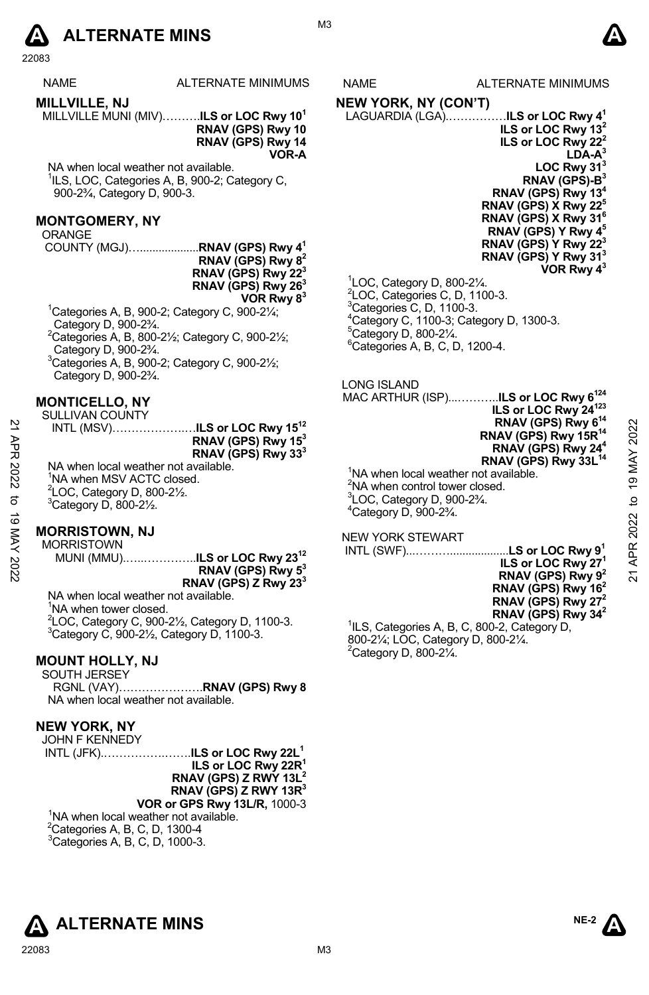# **A** ALTERNATE MINS  $\bullet$

22083

| <b>NAME</b>          | ALTERNATE MINIMUMS |
|----------------------|--------------------|
| <b>MILLVILLE, NJ</b> |                    |

MILLVILLE MUNI (MIV)……….**ILS or LOC Rwy 101 RNAV (GPS) Rwy 10 RNAV (GPS) Rwy 14** 

**VOR-A** 

NA when local weather not available. <sup>1</sup>ILS, LOC, Categories A, B, 900-2; Category C, 900-2¾, Category D, 900-3.

### **MONTGOMERY, NY**

ORANGE COUNTY (MGJ)…...................**RNAV (GPS) Rwy 41 RNAV (GPS) Rwy 82 RNAV (GPS) Rwy 223 RNAV (GPS) Rwy 263 VOR Rwy 83** 

 $1$ Categories A, B, 900-2; Category C, 900-2 $\frac{1}{4}$ ; Category D, 900-2¾.  $2$ Categories A, B, 800-2 $\frac{1}{2}$ ; Category C, 900-2 $\frac{1}{2}$ ; Category D, 900-2¾.  $3$ Categories A, B, 900-2; Category C, 900-2 $\frac{1}{2}$ ; Category D, 900-2¾.

### **MONTICELLO, NY**

| SULLIVAN COUNTY                                                                                                                                                   | RNAV (GPS) Rwy 15 <sup>3</sup> |
|-------------------------------------------------------------------------------------------------------------------------------------------------------------------|--------------------------------|
|                                                                                                                                                                   | RNAV (GPS) Rwy 333             |
| NA when local weather not available.<br><sup>1</sup> NA when MSV ACTC closed.<br>$2$ LOC, Category D, 800-2 $\frac{1}{2}$ .<br><sup>3</sup> Category D, 800-21/2. |                                |

### **MORRISTOWN, NJ**

MORRISTOWN

MUNI (MMU).…..…………..**ILS or LOC Rwy 2312 RNAV (GPS) Rwy 53 RNAV (GPS) Z Rwy 233** 

NA when local weather not available. <sup>1</sup>NA when tower closed.

2 LOC, Category C, 900-2½, Category D, 1100-3. 3  $3$ Category C, 900-2 $\frac{1}{2}$ , Category D, 1100-3.

### **MOUNT HOLLY, NJ**

SOUTH JERSEY RGNL (VAY)………………….**RNAV (GPS) Rwy 8**  NA when local weather not available.

### **NEW YORK, NY**

JOHN F KENNEDY INTL (JFK).…………….…….**ILS or LOC Rwy 22L1 ILS or LOC Rwy 22R<sup>1</sup> RNAV (GPS) Z RWY 13L2 RNAV (GPS) Z RWY 13R3 VOR or GPS Rwy 13L/R,** 1000-3 <sup>1</sup>NA when local weather not available.<br><sup>2</sup>Categories A, B, C, D, 1300-4 <sup>3</sup> Categories A, B, C, D, 1000-3.

M3

**NEW YORK, NY (CON'T)**  LAGUARDIA (LGA).……………**ILS or LOC Rwy 41 ILS or LOC Rwy 132 ILS or LOC Rwy 222 LDA-A3 LOC Rwy 313 RNAV (GPS)-B3 RNAV (GPS) Rwy 134 RNAV (GPS) X Rwy 225 RNAV (GPS) X Rwy 316 RNAV (GPS) Y Rwy 45 RNAV (GPS) Y Rwy 223 RNAV (GPS) Y Rwy 313 VOR Rwy 43** 1 LOC, Category D, 800-2¼. 2 LOC, Categories C, D, 1100-3.

 Categories C, D, 1100-3. Category C, 1100-3; Category D, 1300-3. Category D, 800-2 $\frac{1}{4}$ . Categories A, B, C, D, 1200-4.

LONG ISLAND MAC ARTHUR (ISP)...………..**ILS or LOC Rwy 6124 ILS or LOC Rwy 24123 RNAV (GPS) Rwy 614 RNAV (GPS) Rwy 15R14 RNAV (GPS) Rwy 244 RNAV (GPS) Rwy 33L14**  <sup>1</sup>NA when local weather not available. <sup>2</sup>NA when control tower closed.  $3$ LOC, Category D, 900-2 $\frac{3}{4}$ . 4 Category D, 900-2¾. NEW YORK STEWART INTL (SWF)...………...................**LS or LOC Rwy 91** 21 APR 2022 to 19 MAY 202221 APR 2022 to 19 MAY 2022

**ILS or LOC Rwy 27<sup>1</sup> RNAV (GPS) Rwy 92 RNAV (GPS) Rwy 162 RNAV (GPS) Rwy 272 RNAV (GPS) Rwy 342** 

<sup>1</sup>ILS, Categories A, B, C, 800-2, Category D, 800-2¼; LOC, Category D, 800-2¼.  $2$ Category D, 800-2 $\frac{1}{4}$ .

ALTERNATE MINIMUMS NAME ALTERNATE MINIMUMS

22083 M3 **ALTERNATE MINS**  $^{\text{NE-2}}$   $\Lambda$ 

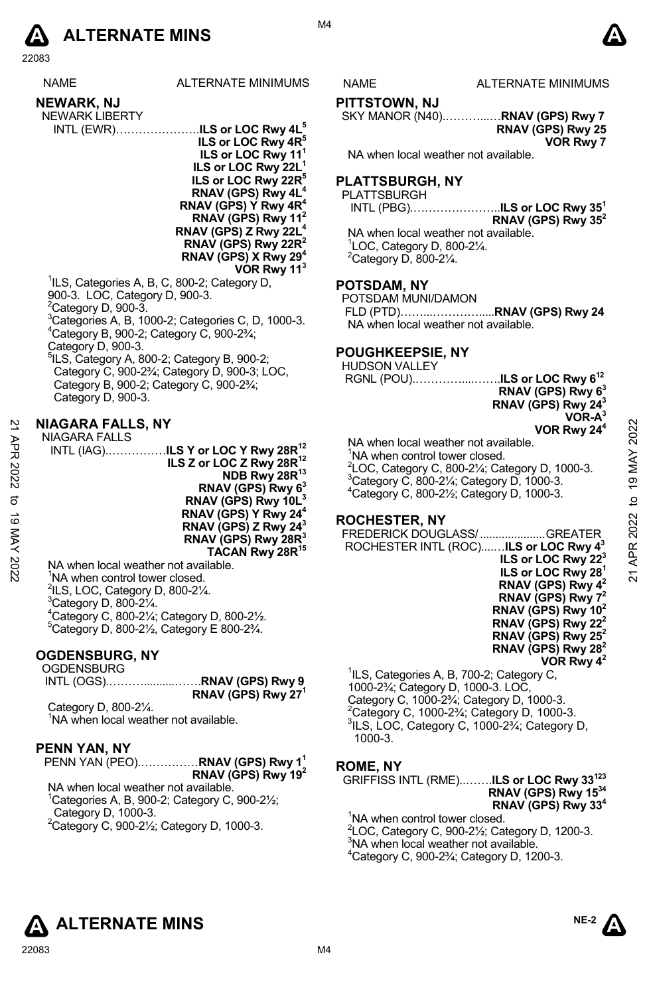

22083

NAME ALTERNATE MINIMUMS NAME ALTERNATE MINIMUMS

**NEWARK, NJ** 

NEWARK LIBERTY INTL (EWR)………………….**ILS or LOC Rwy 4L5**

**ILS or LOC Rwy 4R5 ILS or LOC Rwy 111 ILS or LOC Rwy 22L ILS or LOC Rwy 22R5 RNAV (GPS) Rwy 4L4 RNAV (GPS) Y Rwy 4R4 RNAV (GPS) Rwy 112 RNAV (GPS) Z Rwy 22L4 RNAV (GPS) Rwy 22R2 RNAV (GPS) X Rwy 294 VOR Rwy 113** 

<sup>1</sup>ILS, Categories A, B, C, 800-2; Category D, 900-3. LOC, Category D, 900-3. 2  ${}^{2}$ Category D, 900-3.  $^{3}$ Categories A, B, 1000-2; Categories C, D, 1000-3.  $4$ Category B, 900-2; Category C, 900-2 $\frac{3}{4}$ ; Category D, 900-3.

5 ILS, Category A, 800-2; Category B, 900-2; Category C, 900-2¾; Category D, 900-3; LOC, Category B, 900-2; Category C, 900-2¾; Category D, 900-3.

### **NIAGARA FALLS, NY**

NIAGARA FALLS INTL (IAG).……………**ILS Y or LOC Y Rwy 28R12 ILS Z or LOC Z Rwy 28R12 NDB Rwy 28R13 RNAV (GPS) Rwy 63 RNAV (GPS) Rwy 10L3 RNAV (GPS) Y Rwy 244 RNAV (GPS) Z Rwy 243 RNAV (GPS) Rwy 28R3 TACAN Rwy 28R15**  NA when local weather not available. NIAGARA FALLS, NY<br>
MAGARA FALLS<br>
ILS Y or LOC Y Rwy 28R<sup>12</sup><br>
ILS Z or LOC Z Rwy 28R<sup>12</sup><br>
ILS Z or LOC Z Rwy 28R<sup>12</sup><br>
<sup>2</sup> LOC, Category C, 800-2<sup>1</sup>/<sub>4</sub>; Category D, 1000-3.<br> **RNAV (GPS) Rwy 10<sup>3</sup>**<br>
RNAV (GPS) Rwy 10<sup>3</sup><br>
RN

<sup>1</sup>NA when control tower closed. ILS, LOC, Category D, 800-2 $\frac{1}{4}$ . Category D, 800-2 $\frac{1}{4}$ . Category C, 800-2¼; Category D, 800-2½. Category D, 800-2½, Category E 800-2¾.

### **OGDENSBURG, NY**

| OGDENSBURG |                                |
|------------|--------------------------------|
|            |                                |
|            | RNAV (GPS) Rwy 27 <sup>1</sup> |

Category D, 800-2¼. <sup>1</sup>NA when local weather not available.

### **PENN YAN, NY**

PENN YAN (PEO).……………**RNAV (GPS) Rwy 11 RNAV (GPS) Rwy 192**

NA when local weather not available. 1 Categories A, B, 900-2; Category C, 900-2½; Category D, 1000-3.  $^{2}$ Category C, 900-2½; Category D, 1000-3.

**PITTSTOWN, NJ** 

SKY MANOR (N40).………...…**RNAV (GPS) Rwy 7 RNAV (GPS) Rwy 25 VOR Rwy 7**

NA when local weather not available.

#### **PLATTSBURGH, NY**

### PLATTSBURGH

INTL (PBG).…………………..**ILS or LOC Rwy 351 RNAV (GPS) Rwy 352**

NA when local weather not available. 1 LOC, Category D, 800-2¼.  $2$ Category D, 800-2 $\frac{1}{4}$ .

### **POTSDAM, NY**

POTSDAM MUNI/DAMON FLD (PTD)……...………….....**RNAV (GPS) Rwy 24**  NA when local weather not available.

### **POUGHKEEPSIE, NY**

HUDSON VALLEY RGNL (POU).…………....…….**ILS or LOC Rwy 612**

**RNAV (GPS) Rwy 63 RNAV (GPS) Rwy 243 VOR-A3**

## **VOR Rwy 244**

NA when local weather not available. <sup>1</sup>NA when control tower closed. <sup>2</sup>LOC, Category C, 800-2¼; Category D, 1000-3.<br><sup>3</sup>Category C, 800, 21/; Category D, 1000, 3  $3$ Category C, 800-2 $\frac{1}{4}$ ; Category D, 1000-3. 4 Category C, 800-2½; Category D, 1000-3.

### **ROCHESTER, NY**

FREDERICK DOUGLASS/ ..................... GREATER ROCHESTER INTL (ROC)....…**ILS or LOC Rwy 43 ILS or LOC Rwy 223 ILS or LOC Rwy 281 RNAV (GPS) Rwy 42 RNAV (GPS) Rwy 72 RNAV (GPS) Rwy 102 RNAV (GPS) Rwy 222 RNAV (GPS) Rwy 252 RNAV (GPS) Rwy 282 VOR Rwy 42** 

<sup>1</sup>ILS, Categories A, B, 700-2; Category C, 1000-2¾; Category D, 1000-3. LOC, Category C, 1000-2¾; Category D, 1000-3.  $^{2}$ Category C, 1000-2 $\frac{3}{4}$ ; Category D, 1000-3.  $^3$ ILS, LOC, Category C, 1000-2¾; Category D, 1000-3.

### **ROME, NY**

GRIFFISS INTL (RME)..…….**ILS or LOC Rwy 33123 RNAV (GPS) Rwy 1534 RNAV (GPS) Rwy 334** 

<sup>1</sup>NA when control tower closed.  $^{2}$ LOC, Category C, 900-2½; Category D, 1200-3. <sup>3</sup>NA when local weather not available. 4 Category C, 900-2¾; Category D, 1200-3.



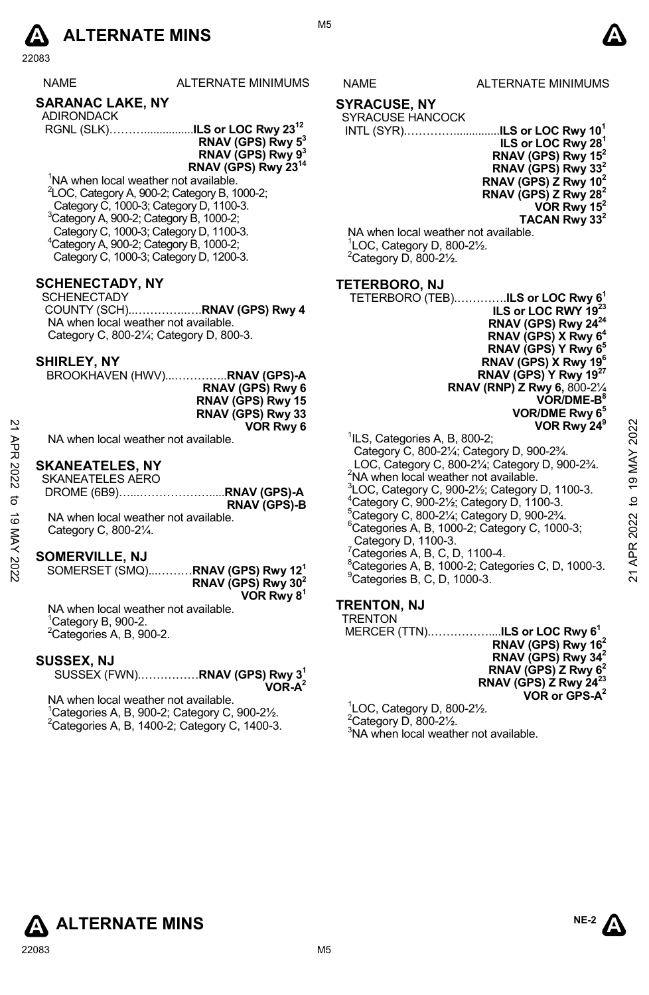

22083

| ALTERNATE MINIMUM |
|-------------------|
|                   |

### **SARANAC LAKE, NY**

ADIRONDACK RGNL (SLK)………................**ILS or LOC Rwy 2312** 

**RNAV (GPS) Rwy 53 RNAV (GPS) Rwy 93 RNAV (GPS) Rwy 23** 

<sup>1</sup>NA when local weather not available.  $2^2$ LOC, Category A, 900-2; Category B, 1000-2; Category C, 1000-3; Category D, 1100-3. 3 Category A, 900-2; Category B, 1000-2; Category C, 1000-3; Category D, 1100-3. 4 Category A, 900-2; Category B, 1000-2; Category C, 1000-3; Category D, 1200-3.

### **SCHENECTADY, NY**

**SCHENECTADY** 

 COUNTY (SCH)..…………..….**RNAV (GPS) Rwy 4**  NA when local weather not available. Category C, 800-2¼; Category D, 800-3.

#### **SHIRLEY, NY**

BROOKHAVEN (HWV)...…………..**RNAV (GPS)-A RNAV (GPS) Rwy 6 RNAV (GPS) Rwy 15 RNAV (GPS) Rwy 33 VOR Rwy 6** 

NA when local weather not available.

### **SKANEATELES, NY**

SKANEATELES AERO DROME (6B9)…...……………….....**RNAV (GPS)-A RNAV (GPS)-B**  NA when local weather not available. Category C, 800-2¼.

### **SOMERVILLE, NJ**

SOMERSET (SMQ)...………**RNAV (GPS) Rwy 121 RNAV (GPS) Rwy 302 VOR Rwy 81** 

NA when local weather not available.  $1$ Category B, 900-2. 2 Categories A, B, 900-2.

#### **SUSSEX, NJ**

SUSSEX (FWN).……………**RNAV (GPS) Rwy 31**

**VOR-A2**

NA when local weather not available. <sup>1</sup> Categories A, B, 900-2; Category C, 900-2½.<br><sup>2</sup> Categories A, B, 1400, 2; Category C, 1400, 2  $2$ Categories A, B, 1400-2; Category C, 1400-3. **IS NAME ALTERNATE MINIMUMS** 

M5

### **SYRACUSE, NY**

#### SYRACUSE HANCOCK

 INTL (SYR).…………...............**ILS or LOC Rwy 101 ILS or LOC Rwy 28<sup>1</sup> RNAV (GPS) Rwy 152 RNAV (GPS) Rwy 332 RNAV (GPS) Z Rwy 102 RNAV (GPS) Z Rwy 282 VOR Rwy 152 TACAN Rwy 332**

NA when local weather not available.  ${}^{1}$ LOC, Category D, 800-2 $\frac{1}{2}$ .  $2$ Category D, 800-2 $\frac{1}{2}$ .

### **TETERBORO, NJ**

| TETERBORO (TEB)ILS or LOC Rwy 6 <sup>1</sup> |
|----------------------------------------------|
| ILS or LOC RWY 1923                          |
| RNAV (GPS) Rwy 24 <sup>24</sup>              |
| RNAV (GPS) X Rwy 6 <sup>4</sup>              |
| RNAV (GPS) Y Rwy 6 <sup>5</sup>              |
| RNAV (GPS) X Rwy 19 <sup>6</sup>             |
| RNAV (GPS) Y Rwy 1927                        |
| RNAV (RNP) Z Rwy 6, 800-21/4                 |
| <b>VOR/DME-B<sup>8</sup></b>                 |
| VOR/DME Rwy 6°                               |
| VOR Rwy 24 <sup>9</sup>                      |
| <sup>1</sup> ILS, Categories A, B, 800-2;    |
| Category C, 800-21/4; Category D, 900-23/4.  |
|                                              |

 LOC, Category C, 800-2¼; Category D, 900-2¾. 2  $2$ NA when local weather not available. 3 LOC, Category C, 900-2½; Category D, 1100-3. 4 Category C, 900-2½; Category D, 1100-3. 5 Category C, 800-2¼; Category D, 900-2¾. 6 Categories A, B, 1000-2; Category C, 1000-3; Category D, 1100-3.  $7$ Categories A, B, C, D, 1100-4.  ${}^{8}$ Categories A, B, 1000-2; Categories C, D, 1000-3.  $^9$ Categories B, C, D, 1000-3. VOR Rwy 6<br>
22 VOR Rwy 6<br>
22 SKANEATELES, NY<br>
22 SKANEATELES, NY<br>
22 SKANEATELES AERO<br>
22 SKANEATELES AERO<br>
22 SKANEATELES AERO<br>
22 SKANEATELES AERO<br>
22 SKANEATELES AERO<br>
22 SKANEATELES AERO<br>
22 SKANEATELES AERO<br>
22 SKANEA

### **TRENTON, NJ**

| TRENTON               |                                |
|-----------------------|--------------------------------|
|                       |                                |
|                       | RNAV (GPS) Rwy 16 <sup>2</sup> |
|                       | RNAV (GPS) Rwy $342$           |
|                       | RNAV (GPS) Z Rwy $62$          |
|                       | RNAV (GPS) Z Rwy $24^{23}$     |
|                       | VOR or GPS-A <sup>2</sup>      |
| $1000 \times 1000001$ |                                |

1 LOC, Category D, 800-2½.

 $2$ Category D, 800-2 $\frac{1}{2}$ . <sup>3</sup>NA when local weather not available.